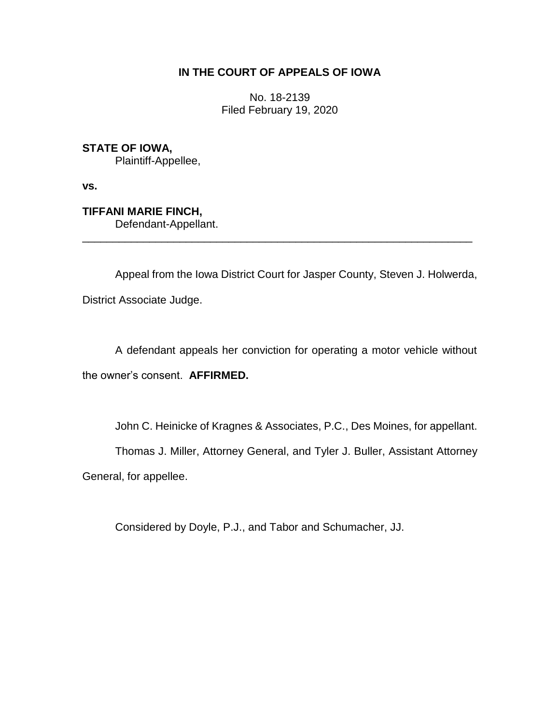# **IN THE COURT OF APPEALS OF IOWA**

No. 18-2139 Filed February 19, 2020

**STATE OF IOWA,**

Plaintiff-Appellee,

**vs.**

**TIFFANI MARIE FINCH,** Defendant-Appellant.

Appeal from the Iowa District Court for Jasper County, Steven J. Holwerda, District Associate Judge.

\_\_\_\_\_\_\_\_\_\_\_\_\_\_\_\_\_\_\_\_\_\_\_\_\_\_\_\_\_\_\_\_\_\_\_\_\_\_\_\_\_\_\_\_\_\_\_\_\_\_\_\_\_\_\_\_\_\_\_\_\_\_\_\_

A defendant appeals her conviction for operating a motor vehicle without the owner's consent. **AFFIRMED.**

John C. Heinicke of Kragnes & Associates, P.C., Des Moines, for appellant.

Thomas J. Miller, Attorney General, and Tyler J. Buller, Assistant Attorney

General, for appellee.

Considered by Doyle, P.J., and Tabor and Schumacher, JJ.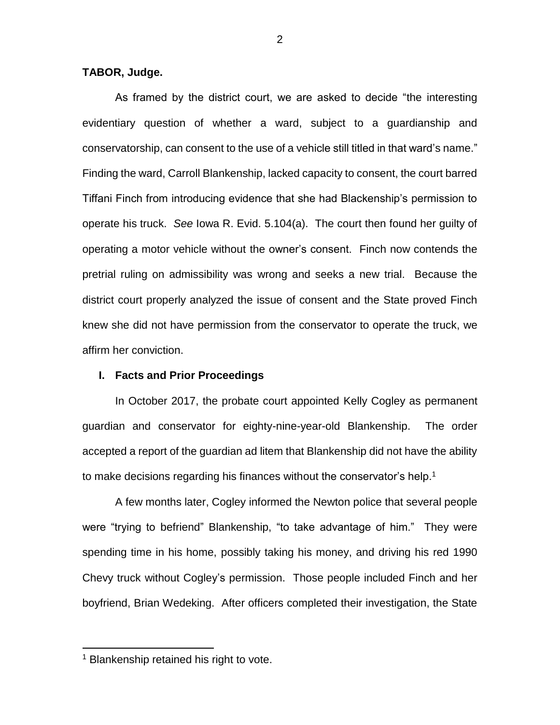## **TABOR, Judge.**

As framed by the district court, we are asked to decide "the interesting evidentiary question of whether a ward, subject to a guardianship and conservatorship, can consent to the use of a vehicle still titled in that ward's name." Finding the ward, Carroll Blankenship, lacked capacity to consent, the court barred Tiffani Finch from introducing evidence that she had Blackenship's permission to operate his truck. *See* Iowa R. Evid. 5.104(a). The court then found her guilty of operating a motor vehicle without the owner's consent. Finch now contends the pretrial ruling on admissibility was wrong and seeks a new trial. Because the district court properly analyzed the issue of consent and the State proved Finch knew she did not have permission from the conservator to operate the truck, we affirm her conviction.

### **I. Facts and Prior Proceedings**

In October 2017, the probate court appointed Kelly Cogley as permanent guardian and conservator for eighty-nine-year-old Blankenship. The order accepted a report of the guardian ad litem that Blankenship did not have the ability to make decisions regarding his finances without the conservator's help.<sup>1</sup>

A few months later, Cogley informed the Newton police that several people were "trying to befriend" Blankenship, "to take advantage of him." They were spending time in his home, possibly taking his money, and driving his red 1990 Chevy truck without Cogley's permission. Those people included Finch and her boyfriend, Brian Wedeking. After officers completed their investigation, the State

 $\overline{a}$ 

<sup>&</sup>lt;sup>1</sup> Blankenship retained his right to vote.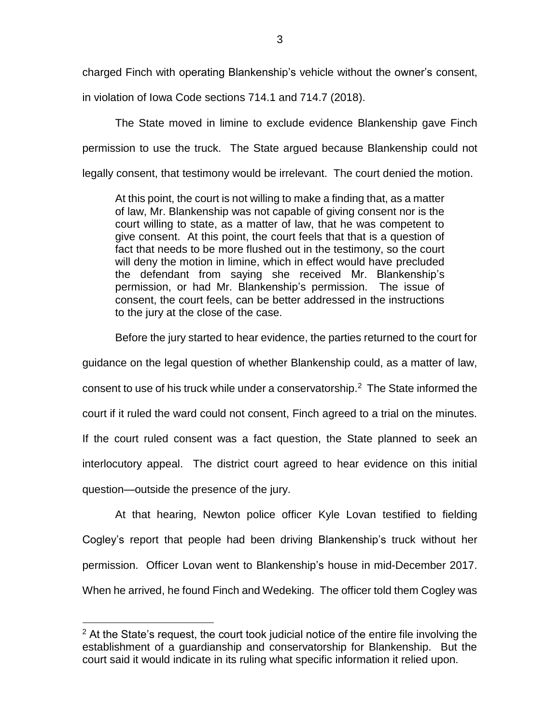charged Finch with operating Blankenship's vehicle without the owner's consent,

in violation of Iowa Code sections 714.1 and 714.7 (2018).

The State moved in limine to exclude evidence Blankenship gave Finch permission to use the truck. The State argued because Blankenship could not legally consent, that testimony would be irrelevant. The court denied the motion.

At this point, the court is not willing to make a finding that, as a matter of law, Mr. Blankenship was not capable of giving consent nor is the court willing to state, as a matter of law, that he was competent to give consent. At this point, the court feels that that is a question of fact that needs to be more flushed out in the testimony, so the court will deny the motion in limine, which in effect would have precluded the defendant from saying she received Mr. Blankenship's permission, or had Mr. Blankenship's permission. The issue of consent, the court feels, can be better addressed in the instructions to the jury at the close of the case.

Before the jury started to hear evidence, the parties returned to the court for

guidance on the legal question of whether Blankenship could, as a matter of law,

consent to use of his truck while under a conservatorship.<sup>2</sup> The State informed the

court if it ruled the ward could not consent, Finch agreed to a trial on the minutes.

If the court ruled consent was a fact question, the State planned to seek an

interlocutory appeal. The district court agreed to hear evidence on this initial

question—outside the presence of the jury.

 $\overline{a}$ 

At that hearing, Newton police officer Kyle Lovan testified to fielding Cogley's report that people had been driving Blankenship's truck without her permission. Officer Lovan went to Blankenship's house in mid-December 2017. When he arrived, he found Finch and Wedeking. The officer told them Cogley was

 $2$  At the State's request, the court took judicial notice of the entire file involving the establishment of a guardianship and conservatorship for Blankenship. But the court said it would indicate in its ruling what specific information it relied upon.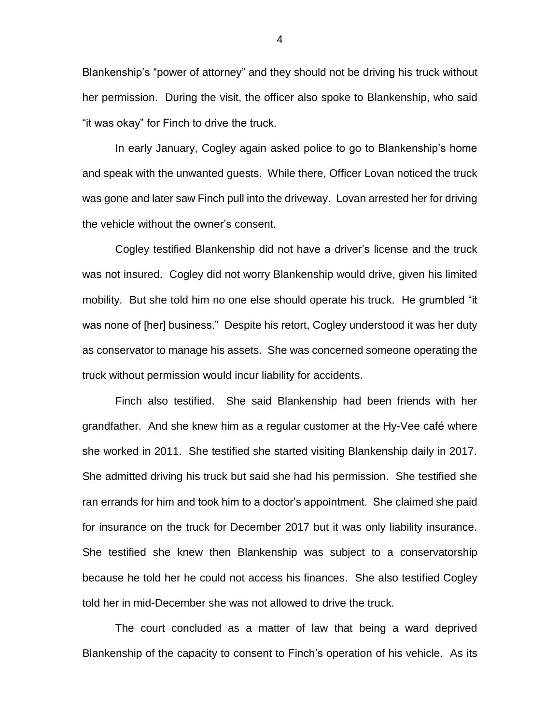Blankenship's "power of attorney" and they should not be driving his truck without her permission. During the visit, the officer also spoke to Blankenship, who said "it was okay" for Finch to drive the truck.

In early January, Cogley again asked police to go to Blankenship's home and speak with the unwanted guests. While there, Officer Lovan noticed the truck was gone and later saw Finch pull into the driveway. Lovan arrested her for driving the vehicle without the owner's consent.

Cogley testified Blankenship did not have a driver's license and the truck was not insured. Cogley did not worry Blankenship would drive, given his limited mobility. But she told him no one else should operate his truck. He grumbled "it was none of [her] business." Despite his retort, Cogley understood it was her duty as conservator to manage his assets. She was concerned someone operating the truck without permission would incur liability for accidents.

Finch also testified. She said Blankenship had been friends with her grandfather. And she knew him as a regular customer at the Hy-Vee café where she worked in 2011. She testified she started visiting Blankenship daily in 2017. She admitted driving his truck but said she had his permission. She testified she ran errands for him and took him to a doctor's appointment. She claimed she paid for insurance on the truck for December 2017 but it was only liability insurance. She testified she knew then Blankenship was subject to a conservatorship because he told her he could not access his finances. She also testified Cogley told her in mid-December she was not allowed to drive the truck.

The court concluded as a matter of law that being a ward deprived Blankenship of the capacity to consent to Finch's operation of his vehicle. As its

4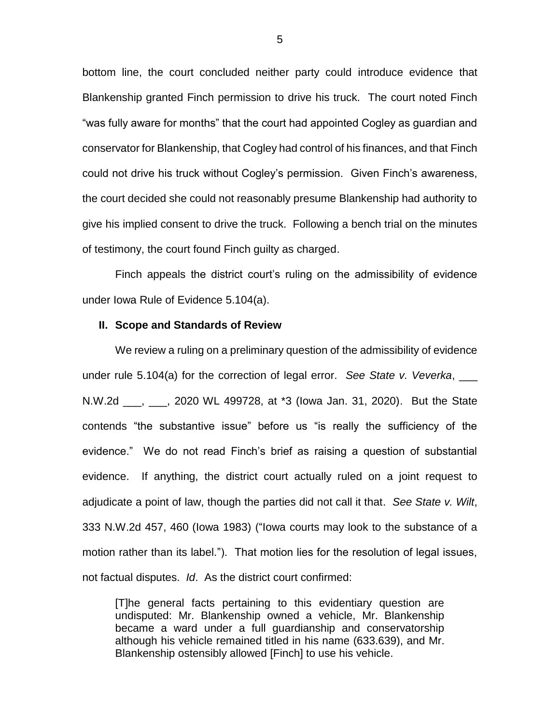bottom line, the court concluded neither party could introduce evidence that Blankenship granted Finch permission to drive his truck. The court noted Finch "was fully aware for months" that the court had appointed Cogley as guardian and conservator for Blankenship, that Cogley had control of his finances, and that Finch could not drive his truck without Cogley's permission. Given Finch's awareness, the court decided she could not reasonably presume Blankenship had authority to give his implied consent to drive the truck. Following a bench trial on the minutes of testimony, the court found Finch guilty as charged.

Finch appeals the district court's ruling on the admissibility of evidence under Iowa Rule of Evidence 5.104(a).

#### **II. Scope and Standards of Review**

We review a ruling on a preliminary question of the admissibility of evidence under rule 5.104(a) for the correction of legal error. *See State v. Veverka*, \_\_\_ N.W.2d \_\_\_, \_\_\_, 2020 WL 499728, at \*3 (Iowa Jan. 31, 2020). But the State contends "the substantive issue" before us "is really the sufficiency of the evidence." We do not read Finch's brief as raising a question of substantial evidence. If anything, the district court actually ruled on a joint request to adjudicate a point of law, though the parties did not call it that. *See State v. Wilt*, 333 N.W.2d 457, 460 (Iowa 1983) ("Iowa courts may look to the substance of a motion rather than its label."). That motion lies for the resolution of legal issues, not factual disputes. *Id*. As the district court confirmed:

[T]he general facts pertaining to this evidentiary question are undisputed: Mr. Blankenship owned a vehicle, Mr. Blankenship became a ward under a full guardianship and conservatorship although his vehicle remained titled in his name (633.639), and Mr. Blankenship ostensibly allowed [Finch] to use his vehicle.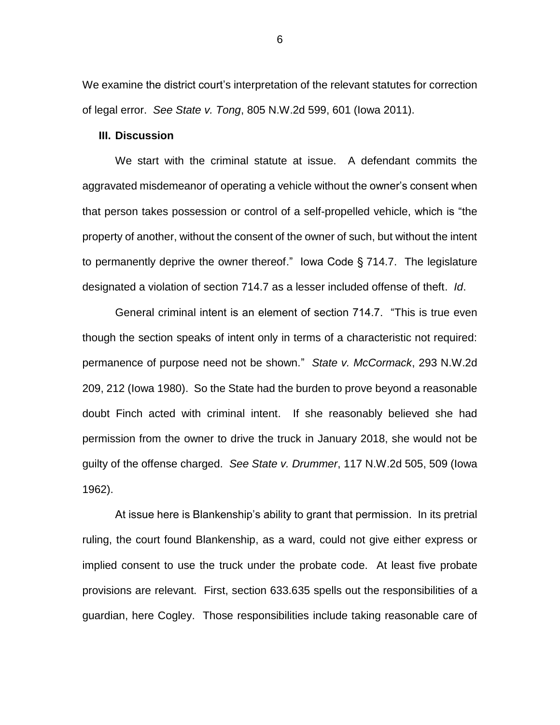We examine the district court's interpretation of the relevant statutes for correction of legal error. *See State v. Tong*, 805 N.W.2d 599, 601 (Iowa 2011).

# **III. Discussion**

We start with the criminal statute at issue. A defendant commits the aggravated misdemeanor of operating a vehicle without the owner's consent when that person takes possession or control of a self-propelled vehicle, which is "the property of another, without the consent of the owner of such, but without the intent to permanently deprive the owner thereof." Iowa Code § 714.7. The legislature designated a violation of section 714.7 as a lesser included offense of theft. *Id*.

General criminal intent is an element of section 714.7. "This is true even though the section speaks of intent only in terms of a characteristic not required: permanence of purpose need not be shown." *State v. McCormack*, 293 N.W.2d 209, 212 (Iowa 1980). So the State had the burden to prove beyond a reasonable doubt Finch acted with criminal intent. If she reasonably believed she had permission from the owner to drive the truck in January 2018, she would not be guilty of the offense charged. *See State v. Drummer*, 117 N.W.2d 505, 509 (Iowa 1962).

At issue here is Blankenship's ability to grant that permission. In its pretrial ruling, the court found Blankenship, as a ward, could not give either express or implied consent to use the truck under the probate code. At least five probate provisions are relevant. First, section 633.635 spells out the responsibilities of a guardian, here Cogley. Those responsibilities include taking reasonable care of

6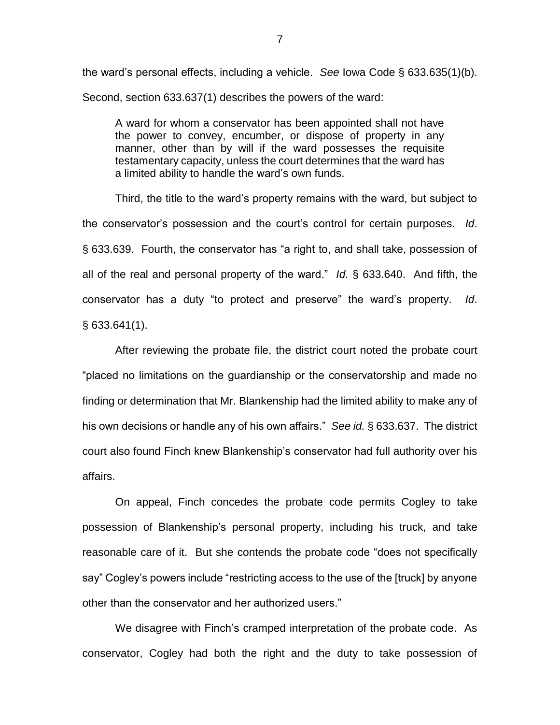the ward's personal effects, including a vehicle. *See* Iowa Code § 633.635(1)(b). Second, section 633.637(1) describes the powers of the ward:

A ward for whom a conservator has been appointed shall not have the power to convey, encumber, or dispose of property in any manner, other than by will if the ward possesses the requisite testamentary capacity, unless the court determines that the ward has a limited ability to handle the ward's own funds.

Third, the title to the ward's property remains with the ward, but subject to the conservator's possession and the court's control for certain purposes. *Id*. § 633.639. Fourth, the conservator has "a right to, and shall take, possession of all of the real and personal property of the ward." *Id.* § 633.640. And fifth, the conservator has a duty "to protect and preserve" the ward's property. *Id*. § 633.641(1).

After reviewing the probate file, the district court noted the probate court "placed no limitations on the guardianship or the conservatorship and made no finding or determination that Mr. Blankenship had the limited ability to make any of his own decisions or handle any of his own affairs." *See id.* § 633.637. The district court also found Finch knew Blankenship's conservator had full authority over his affairs.

On appeal, Finch concedes the probate code permits Cogley to take possession of Blankenship's personal property, including his truck, and take reasonable care of it. But she contends the probate code "does not specifically say" Cogley's powers include "restricting access to the use of the [truck] by anyone other than the conservator and her authorized users."

We disagree with Finch's cramped interpretation of the probate code. As conservator, Cogley had both the right and the duty to take possession of